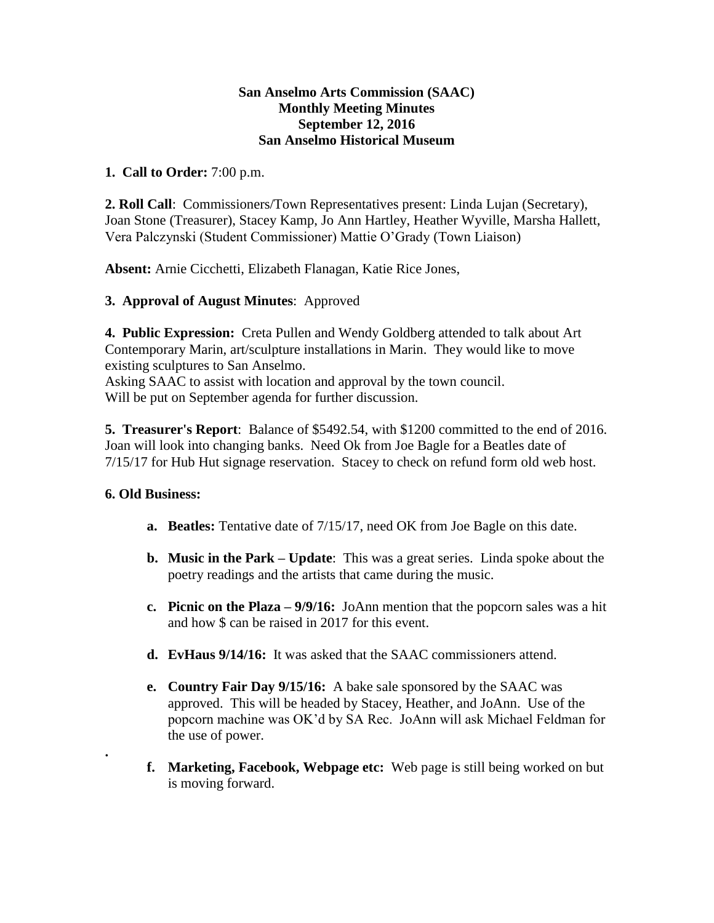#### **San Anselmo Arts Commission (SAAC) Monthly Meeting Minutes September 12, 2016 San Anselmo Historical Museum**

### **1. Call to Order:** 7:00 p.m.

**2. Roll Call**: Commissioners/Town Representatives present: Linda Lujan (Secretary), Joan Stone (Treasurer), Stacey Kamp, Jo Ann Hartley, Heather Wyville, Marsha Hallett, Vera Palczynski (Student Commissioner) Mattie O'Grady (Town Liaison)

**Absent:** Arnie Cicchetti, Elizabeth Flanagan, Katie Rice Jones,

#### **3. Approval of August Minutes**: Approved

**4. Public Expression:** Creta Pullen and Wendy Goldberg attended to talk about Art Contemporary Marin, art/sculpture installations in Marin. They would like to move existing sculptures to San Anselmo.

Asking SAAC to assist with location and approval by the town council. Will be put on September agenda for further discussion.

**5. Treasurer's Report**: Balance of \$5492.54, with \$1200 committed to the end of 2016. Joan will look into changing banks. Need Ok from Joe Bagle for a Beatles date of 7/15/17 for Hub Hut signage reservation. Stacey to check on refund form old web host.

## **6. Old Business:**

**.**

- **a. Beatles:** Tentative date of 7/15/17, need OK from Joe Bagle on this date.
- **b. Music in the Park – Update**: This was a great series. Linda spoke about the poetry readings and the artists that came during the music.
- **c. Picnic on the Plaza – 9/9/16:** JoAnn mention that the popcorn sales was a hit and how \$ can be raised in 2017 for this event.
- **d. EvHaus 9/14/16:** It was asked that the SAAC commissioners attend.
- **e. Country Fair Day 9/15/16:** A bake sale sponsored by the SAAC was approved. This will be headed by Stacey, Heather, and JoAnn. Use of the popcorn machine was OK'd by SA Rec. JoAnn will ask Michael Feldman for the use of power.
- **f. Marketing, Facebook, Webpage etc:** Web page is still being worked on but is moving forward.